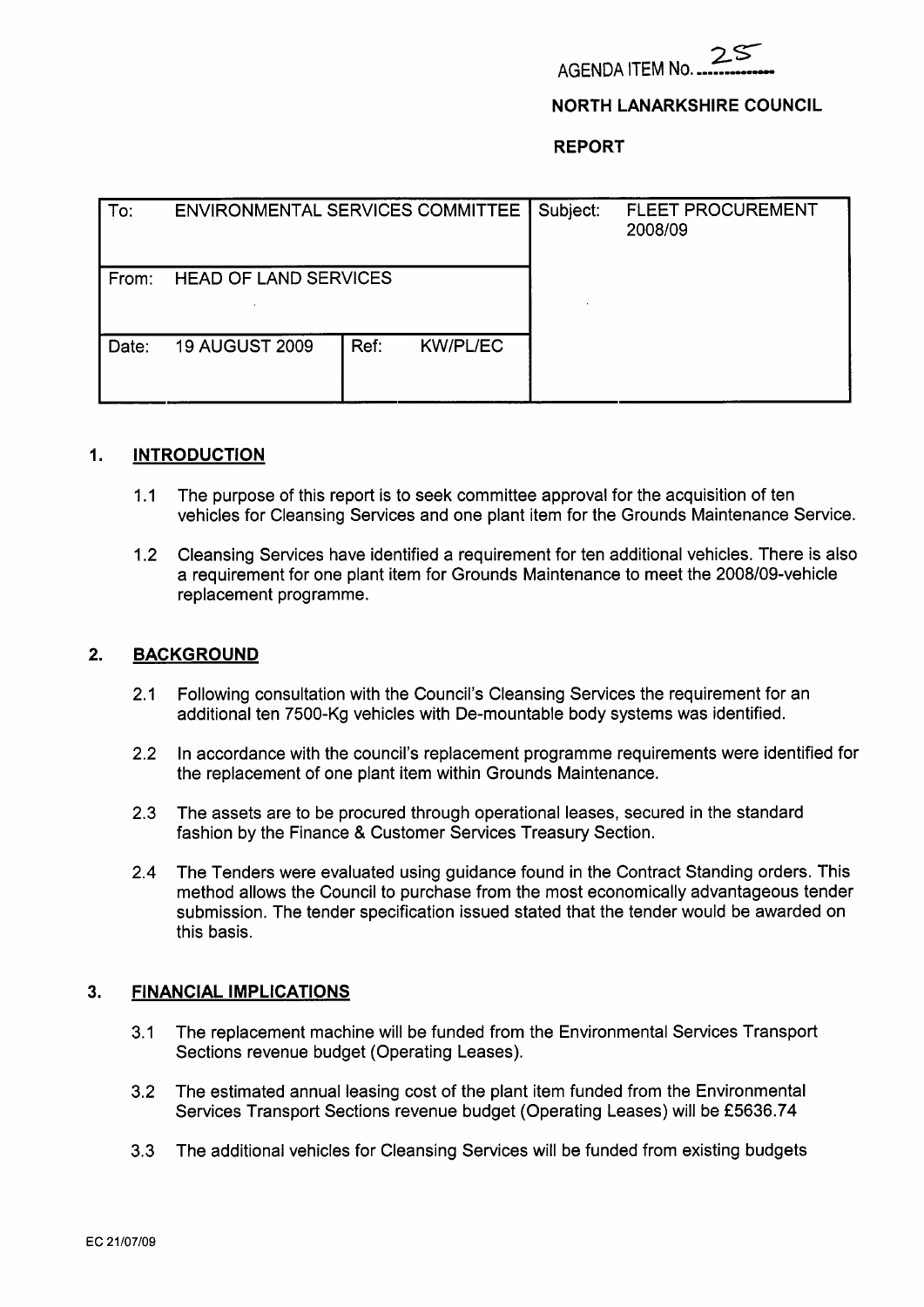

# **NORTH LANARKSHIRE COUNCIL**

### **REPORT**

| To:   | ENVIRONMENTAL SERVICES COMMITTEE |      |                 | Subject: | <b>FLEET PROCUREMENT</b><br>2008/09 |
|-------|----------------------------------|------|-----------------|----------|-------------------------------------|
| From: | <b>HEAD OF LAND SERVICES</b>     |      |                 |          |                                     |
| Date: | <b>19 AUGUST 2009</b>            | Ref: | <b>KW/PL/EC</b> |          |                                     |

### **1. INTRODUCTION**

- 1.1 The purpose of this report is to seek committee approval for the acquisition of ten vehicles for Cleansing Services and one plant item for the Grounds Maintenance Service.
- 1.2 Cleansing Services have identified a requirement for ten additional vehicles. There is also a requirement for one plant item for Grounds Maintenance to meet the 2008/09-vehicle replacement programme.

### **2. BACKGROUND**

- 2.1 Following consultation with the Council's Cleansing Services the requirement for an additional ten 7500-Kg vehicles with De-mountable body systems was identified.
- 2.2 In accordance with the council's replacement programme requirements were identified for the replacement of one plant item within Grounds Maintenance.
- 2.3 The assets are to be procured through operational leases, secured in the standard fashion by the Finance & Customer Services Treasury Section.
- **2.4** The Tenders were evaluated using guidance found in the Contract Standing orders. This method allows the Council to purchase from the most economically advantageous tender submission. The tender specification issued stated that the tender would be awarded on this basis.

### **3. FINANCIAL IMPLICATIONS**

- 3.1 The replacement machine will be funded from the Environmental Services Transport Sections revenue budget (Operating Leases).
- 3.2 The estimated annual leasing cost of the plant item funded from the Environmental Services Transport Sections revenue budget (Operating Leases) will be **f** 5636.74
- 3.3 The additional vehicles for Cleansing Services will be funded from existing budgets